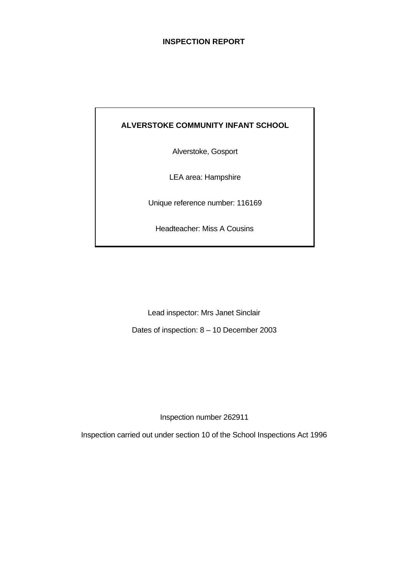## **INSPECTION REPORT**

# **ALVERSTOKE COMMUNITY INFANT SCHOOL**

Alverstoke, Gosport

LEA area: Hampshire

Unique reference number: 116169

Headteacher: Miss A Cousins

Lead inspector: Mrs Janet Sinclair

Dates of inspection: 8 – 10 December 2003

Inspection number 262911

Inspection carried out under section 10 of the School Inspections Act 1996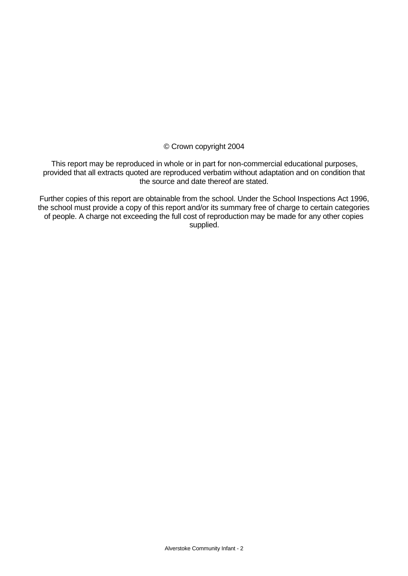© Crown copyright 2004

This report may be reproduced in whole or in part for non-commercial educational purposes, provided that all extracts quoted are reproduced verbatim without adaptation and on condition that the source and date thereof are stated.

Further copies of this report are obtainable from the school. Under the School Inspections Act 1996, the school must provide a copy of this report and/or its summary free of charge to certain categories of people. A charge not exceeding the full cost of reproduction may be made for any other copies supplied.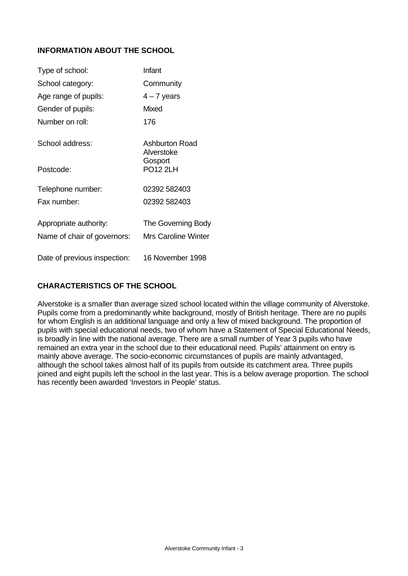# **INFORMATION ABOUT THE SCHOOL**

| Type of school:              | Infant                       |
|------------------------------|------------------------------|
| School category:             | Community                    |
| Age range of pupils:         | $4 - 7$ years                |
| Gender of pupils:            | <b>Mixed</b>                 |
| Number on roll:              | 176                          |
| School address:              | Ashburton Road<br>Alverstoke |
| Postcode:                    | Gosport<br><b>PO12 2LH</b>   |
| Telephone number:            | 02392 582403                 |
| Fax number:                  | 02392 582403                 |
| Appropriate authority:       | The Governing Body           |
| Name of chair of governors:  | Mrs Caroline Winter          |
| Date of previous inspection: | 16 November 1998             |

## **CHARACTERISTICS OF THE SCHOOL**

Alverstoke is a smaller than average sized school located within the village community of Alverstoke. Pupils come from a predominantly white background, mostly of British heritage. There are no pupils for whom English is an additional language and only a few of mixed background. The proportion of pupils with special educational needs, two of whom have a Statement of Special Educational Needs, is broadly in line with the national average. There are a small number of Year 3 pupils who have remained an extra year in the school due to their educational need. Pupils' attainment on entry is mainly above average. The socio-economic circumstances of pupils are mainly advantaged, although the school takes almost half of its pupils from outside its catchment area. Three pupils joined and eight pupils left the school in the last year. This is a below average proportion. The school has recently been awarded 'Investors in People' status.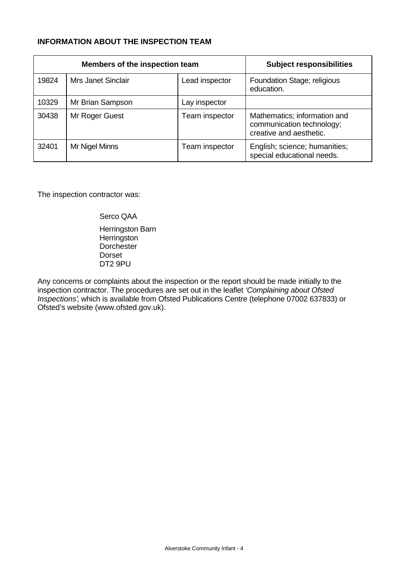# **INFORMATION ABOUT THE INSPECTION TEAM**

|       | Members of the inspection team | <b>Subject responsibilities</b> |                                                                                      |
|-------|--------------------------------|---------------------------------|--------------------------------------------------------------------------------------|
| 19824 | <b>Mrs Janet Sinclair</b>      | Lead inspector                  | Foundation Stage; religious<br>education.                                            |
| 10329 | Mr Brian Sampson               | Lay inspector                   |                                                                                      |
| 30438 | Mr Roger Guest                 | Team inspector                  | Mathematics; information and<br>communication technology;<br>creative and aesthetic. |
| 32401 | Mr Nigel Minns                 | Team inspector                  | English; science; humanities;<br>special educational needs.                          |

The inspection contractor was:

Serco QAA

Herringston Barn **Herringston Dorchester** Dorset DT2 9PU

Any concerns or complaints about the inspection or the report should be made initially to the inspection contractor. The procedures are set out in the leaflet *'Complaining about Ofsted Inspections'*, which is available from Ofsted Publications Centre (telephone 07002 637833) or Ofsted's website (www.ofsted.gov.uk).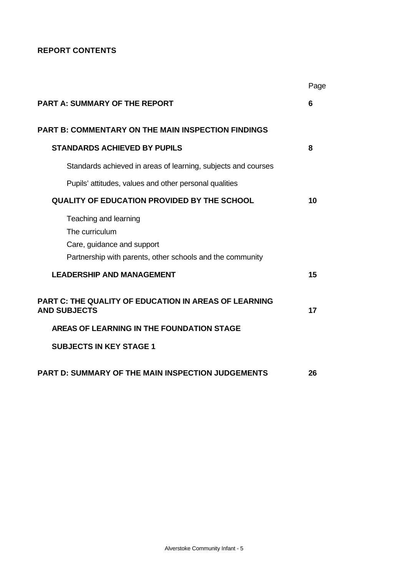# **REPORT CONTENTS**

|                                                                                                                                    | Page |
|------------------------------------------------------------------------------------------------------------------------------------|------|
| <b>PART A: SUMMARY OF THE REPORT</b>                                                                                               | 6    |
| <b>PART B: COMMENTARY ON THE MAIN INSPECTION FINDINGS</b>                                                                          |      |
| <b>STANDARDS ACHIEVED BY PUPILS</b>                                                                                                | 8    |
| Standards achieved in areas of learning, subjects and courses                                                                      |      |
| Pupils' attitudes, values and other personal qualities                                                                             |      |
| <b>QUALITY OF EDUCATION PROVIDED BY THE SCHOOL</b>                                                                                 | 10   |
| Teaching and learning<br>The curriculum<br>Care, guidance and support<br>Partnership with parents, other schools and the community |      |
| <b>LEADERSHIP AND MANAGEMENT</b>                                                                                                   | 15   |
| <b>PART C: THE QUALITY OF EDUCATION IN AREAS OF LEARNING</b><br><b>AND SUBJECTS</b>                                                | 17   |
| AREAS OF LEARNING IN THE FOUNDATION STAGE                                                                                          |      |
| <b>SUBJECTS IN KEY STAGE 1</b>                                                                                                     |      |
| <b>PART D: SUMMARY OF THE MAIN INSPECTION JUDGEMENTS</b>                                                                           | 26   |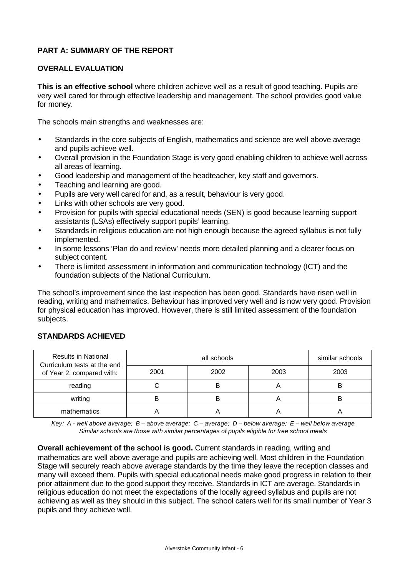# **PART A: SUMMARY OF THE REPORT**

## **OVERALL EVALUATION**

**This is an effective school** where children achieve well as a result of good teaching. Pupils are very well cared for through effective leadership and management. The school provides good value for money.

The schools main strengths and weaknesses are:

- Standards in the core subjects of English, mathematics and science are well above average and pupils achieve well.
- Overall provision in the Foundation Stage is very good enabling children to achieve well across all areas of learning.
- Good leadership and management of the headteacher, key staff and governors.
- Teaching and learning are good.
- Pupils are very well cared for and, as a result, behaviour is very good.
- Links with other schools are very good.
- Provision for pupils with special educational needs (SEN) is good because learning support assistants (LSAs) effectively support pupils' learning.
- Standards in religious education are not high enough because the agreed syllabus is not fully implemented.
- In some lessons 'Plan do and review' needs more detailed planning and a clearer focus on subject content.
- There is limited assessment in information and communication technology (ICT) and the foundation subjects of the National Curriculum.

The school's improvement since the last inspection has been good. Standards have risen well in reading, writing and mathematics. Behaviour has improved very well and is now very good. Provision for physical education has improved. However, there is still limited assessment of the foundation subjects.

| <b>Results in National</b><br>Curriculum tests at the end<br>of Year 2, compared with: |      | similar schools |      |      |
|----------------------------------------------------------------------------------------|------|-----------------|------|------|
|                                                                                        | 2001 | 2002            | 2003 | 2003 |
| reading                                                                                |      | B               |      | B    |
| writing                                                                                |      | B               |      |      |
| mathematics                                                                            |      |                 |      |      |

## **STANDARDS ACHIEVED**

*Key: A - well above average; B – above average; C – average; D – below average; E – well below average Similar schools are those with similar percentages of pupils eligible for free school meals*

**Overall achievement of the school is good.** Current standards in reading, writing and mathematics are well above average and pupils are achieving well. Most children in the Foundation Stage will securely reach above average standards by the time they leave the reception classes and many will exceed them. Pupils with special educational needs make good progress in relation to their prior attainment due to the good support they receive. Standards in ICT are average. Standards in religious education do not meet the expectations of the locally agreed syllabus and pupils are not achieving as well as they should in this subject. The school caters well for its small number of Year 3 pupils and they achieve well.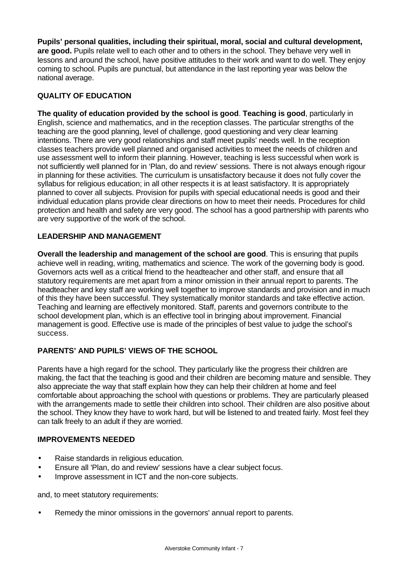**Pupils' personal qualities, including their spiritual, moral, social and cultural development,** are good. Pupils relate well to each other and to others in the school. They behave very well in lessons and around the school, have positive attitudes to their work and want to do well. They enjoy coming to school. Pupils are punctual, but attendance in the last reporting year was below the national average.

## **QUALITY OF EDUCATION**

**The quality of education provided by the school is good**. **Teaching is good**, particularly in English, science and mathematics, and in the reception classes. The particular strengths of the teaching are the good planning, level of challenge, good questioning and very clear learning intentions. There are very good relationships and staff meet pupils' needs well. In the reception classes teachers provide well planned and organised activities to meet the needs of children and use assessment well to inform their planning. However, teaching is less successful when work is not sufficiently well planned for in 'Plan, do and review' sessions. There is not always enough rigour in planning for these activities. The curriculum is unsatisfactory because it does not fully cover the syllabus for religious education; in all other respects it is at least satisfactory. It is appropriately planned to cover all subjects. Provision for pupils with special educational needs is good and their individual education plans provide clear directions on how to meet their needs. Procedures for child protection and health and safety are very good. The school has a good partnership with parents who are very supportive of the work of the school.

## **LEADERSHIP AND MANAGEMENT**

**Overall the leadership and management of the school are good**. This is ensuring that pupils achieve well in reading, writing, mathematics and science. The work of the governing body is good. Governors acts well as a critical friend to the headteacher and other staff, and ensure that all statutory requirements are met apart from a minor omission in their annual report to parents. The headteacher and key staff are working well together to improve standards and provision and in much of this they have been successful. They systematically monitor standards and take effective action. Teaching and learning are effectively monitored. Staff, parents and governors contribute to the school development plan, which is an effective tool in bringing about improvement. Financial management is good. Effective use is made of the principles of best value to judge the school's success.

# **PARENTS' AND PUPILS' VIEWS OF THE SCHOOL**

Parents have a high regard for the school. They particularly like the progress their children are making, the fact that the teaching is good and their children are becoming mature and sensible. They also appreciate the way that staff explain how they can help their children at home and feel comfortable about approaching the school with questions or problems. They are particularly pleased with the arrangements made to settle their children into school. Their children are also positive about the school. They know they have to work hard, but will be listened to and treated fairly. Most feel they can talk freely to an adult if they are worried.

## **IMPROVEMENTS NEEDED**

- Raise standards in religious education.
- Ensure all 'Plan, do and review' sessions have a clear subject focus.
- Improve assessment in ICT and the non-core subjects.

and, to meet statutory requirements:

• Remedy the minor omissions in the governors' annual report to parents.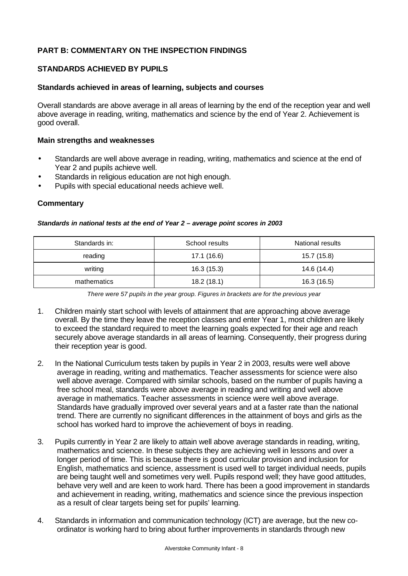# **PART B: COMMENTARY ON THE INSPECTION FINDINGS**

## **STANDARDS ACHIEVED BY PUPILS**

#### **Standards achieved in areas of learning, subjects and courses**

Overall standards are above average in all areas of learning by the end of the reception year and well above average in reading, writing, mathematics and science by the end of Year 2. Achievement is good overall.

#### **Main strengths and weaknesses**

- Standards are well above average in reading, writing, mathematics and science at the end of Year 2 and pupils achieve well.
- Standards in religious education are not high enough.
- Pupils with special educational needs achieve well.

| Standards in national tests at the end of Year 2 - average point scores in 2003 |  |
|---------------------------------------------------------------------------------|--|
|---------------------------------------------------------------------------------|--|

| Standards in: | School results | National results |
|---------------|----------------|------------------|
| reading       | 17.1 (16.6)    | 15.7 (15.8)      |
| writing       | 16.3(15.3)     | 14.6 (14.4)      |
| mathematics   | 18.2(18.1)     | 16.3 (16.5)      |

*There were 57 pupils in the year group. Figures in brackets are for the previous year*

- 1. Children mainly start school with levels of attainment that are approaching above average overall. By the time they leave the reception classes and enter Year 1, most children are likely to exceed the standard required to meet the learning goals expected for their age and reach securely above average standards in all areas of learning. Consequently, their progress during their reception year is good.
- 2. In the National Curriculum tests taken by pupils in Year 2 in 2003, results were well above average in reading, writing and mathematics. Teacher assessments for science were also well above average. Compared with similar schools, based on the number of pupils having a free school meal, standards were above average in reading and writing and well above average in mathematics. Teacher assessments in science were well above average. Standards have gradually improved over several years and at a faster rate than the national trend. There are currently no significant differences in the attainment of boys and girls as the school has worked hard to improve the achievement of boys in reading.
- 3. Pupils currently in Year 2 are likely to attain well above average standards in reading, writing, mathematics and science. In these subjects they are achieving well in lessons and over a longer period of time. This is because there is good curricular provision and inclusion for English, mathematics and science, assessment is used well to target individual needs, pupils are being taught well and sometimes very well. Pupils respond well; they have good attitudes, behave very well and are keen to work hard. There has been a good improvement in standards and achievement in reading, writing, mathematics and science since the previous inspection as a result of clear targets being set for pupils' learning.
- 4. Standards in information and communication technology (ICT) are average, but the new coordinator is working hard to bring about further improvements in standards through new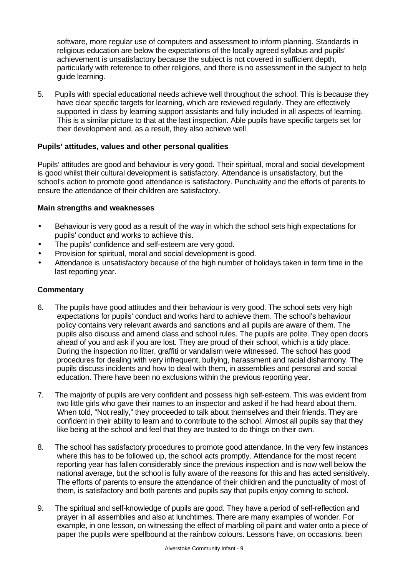software, more regular use of computers and assessment to inform planning. Standards in religious education are below the expectations of the locally agreed syllabus and pupils' achievement is unsatisfactory because the subject is not covered in sufficient depth, particularly with reference to other religions, and there is no assessment in the subject to help guide learning.

5. Pupils with special educational needs achieve well throughout the school. This is because they have clear specific targets for learning, which are reviewed regularly. They are effectively supported in class by learning support assistants and fully included in all aspects of learning. This is a similar picture to that at the last inspection. Able pupils have specific targets set for their development and, as a result, they also achieve well.

## **Pupils' attitudes, values and other personal qualities**

Pupils' attitudes are good and behaviour is very good. Their spiritual, moral and social development is good whilst their cultural development is satisfactory. Attendance is unsatisfactory, but the school's action to promote good attendance is satisfactory. Punctuality and the efforts of parents to ensure the attendance of their children are satisfactory.

#### **Main strengths and weaknesses**

- Behaviour is very good as a result of the way in which the school sets high expectations for pupils' conduct and works to achieve this.
- The pupils' confidence and self-esteem are very good.
- Provision for spiritual, moral and social development is good.
- Attendance is unsatisfactory because of the high number of holidays taken in term time in the last reporting year.

- 6. The pupils have good attitudes and their behaviour is very good. The school sets very high expectations for pupils' conduct and works hard to achieve them. The school's behaviour policy contains very relevant awards and sanctions and all pupils are aware of them. The pupils also discuss and amend class and school rules. The pupils are polite. They open doors ahead of you and ask if you are lost. They are proud of their school, which is a tidy place. During the inspection no litter, graffiti or vandalism were witnessed. The school has good procedures for dealing with very infrequent, bullying, harassment and racial disharmony. The pupils discuss incidents and how to deal with them, in assemblies and personal and social education. There have been no exclusions within the previous reporting year.
- 7. The majority of pupils are very confident and possess high self-esteem. This was evident from two little girls who gave their names to an inspector and asked if he had heard about them. When told, "Not really," they proceeded to talk about themselves and their friends. They are confident in their ability to learn and to contribute to the school. Almost all pupils say that they like being at the school and feel that they are trusted to do things on their own.
- 8. The school has satisfactory procedures to promote good attendance. In the very few instances where this has to be followed up, the school acts promptly. Attendance for the most recent reporting year has fallen considerably since the previous inspection and is now well below the national average, but the school is fully aware of the reasons for this and has acted sensitively. The efforts of parents to ensure the attendance of their children and the punctuality of most of them, is satisfactory and both parents and pupils say that pupils enjoy coming to school.
- 9. The spiritual and self-knowledge of pupils are good. They have a period of self-reflection and prayer in all assemblies and also at lunchtimes. There are many examples of wonder. For example, in one lesson, on witnessing the effect of marbling oil paint and water onto a piece of paper the pupils were spellbound at the rainbow colours. Lessons have, on occasions, been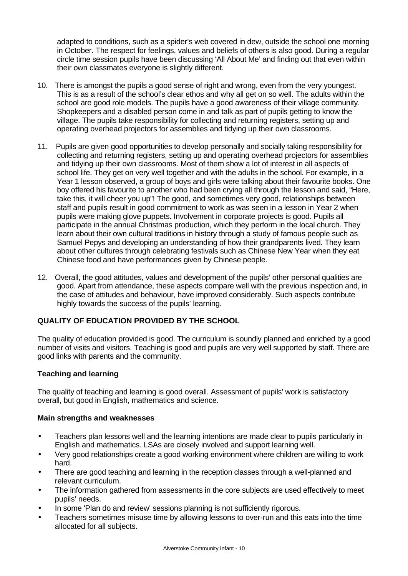adapted to conditions, such as a spider's web covered in dew, outside the school one morning in October. The respect for feelings, values and beliefs of others is also good. During a regular circle time session pupils have been discussing 'All About Me' and finding out that even within their own classmates everyone is slightly different.

- 10. There is amongst the pupils a good sense of right and wrong, even from the very youngest. This is as a result of the school's clear ethos and why all get on so well. The adults within the school are good role models. The pupils have a good awareness of their village community. Shopkeepers and a disabled person come in and talk as part of pupils getting to know the village. The pupils take responsibility for collecting and returning registers, setting up and operating overhead projectors for assemblies and tidying up their own classrooms.
- 11. Pupils are given good opportunities to develop personally and socially taking responsibility for collecting and returning registers, setting up and operating overhead projectors for assemblies and tidying up their own classrooms. Most of them show a lot of interest in all aspects of school life. They get on very well together and with the adults in the school. For example, in a Year 1 lesson observed, a group of boys and girls were talking about their favourite books. One boy offered his favourite to another who had been crying all through the lesson and said, "Here, take this, it will cheer you up"! The good, and sometimes very good, relationships between staff and pupils result in good commitment to work as was seen in a lesson in Year 2 when pupils were making glove puppets. Involvement in corporate projects is good. Pupils all participate in the annual Christmas production, which they perform in the local church. They learn about their own cultural traditions in history through a study of famous people such as Samuel Pepys and developing an understanding of how their grandparents lived. They learn about other cultures through celebrating festivals such as Chinese New Year when they eat Chinese food and have performances given by Chinese people.
- 12. Overall, the good attitudes, values and development of the pupils' other personal qualities are good. Apart from attendance, these aspects compare well with the previous inspection and, in the case of attitudes and behaviour, have improved considerably. Such aspects contribute highly towards the success of the pupils' learning.

# **QUALITY OF EDUCATION PROVIDED BY THE SCHOOL**

The quality of education provided is good. The curriculum is soundly planned and enriched by a good number of visits and visitors. Teaching is good and pupils are very well supported by staff. There are good links with parents and the community.

## **Teaching and learning**

The quality of teaching and learning is good overall. Assessment of pupils' work is satisfactory overall, but good in English, mathematics and science.

## **Main strengths and weaknesses**

- Teachers plan lessons well and the learning intentions are made clear to pupils particularly in English and mathematics. LSAs are closely involved and support learning well.
- Very good relationships create a good working environment where children are willing to work hard.
- There are good teaching and learning in the reception classes through a well-planned and relevant curriculum.
- The information gathered from assessments in the core subjects are used effectively to meet pupils' needs.
- In some 'Plan do and review' sessions planning is not sufficiently rigorous.
- Teachers sometimes misuse time by allowing lessons to over-run and this eats into the time allocated for all subjects.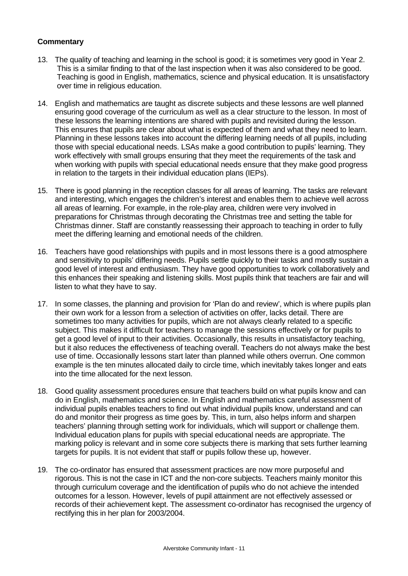- 13. The quality of teaching and learning in the school is good; it is sometimes very good in Year 2. This is a similar finding to that of the last inspection when it was also considered to be good. Teaching is good in English, mathematics, science and physical education. It is unsatisfactory over time in religious education.
- 14. English and mathematics are taught as discrete subjects and these lessons are well planned ensuring good coverage of the curriculum as well as a clear structure to the lesson. In most of these lessons the learning intentions are shared with pupils and revisited during the lesson. This ensures that pupils are clear about what is expected of them and what they need to learn. Planning in these lessons takes into account the differing learning needs of all pupils, including those with special educational needs. LSAs make a good contribution to pupils' learning. They work effectively with small groups ensuring that they meet the requirements of the task and when working with pupils with special educational needs ensure that they make good progress in relation to the targets in their individual education plans (IEPs).
- 15. There is good planning in the reception classes for all areas of learning. The tasks are relevant and interesting, which engages the children's interest and enables them to achieve well across all areas of learning. For example, in the role-play area, children were very involved in preparations for Christmas through decorating the Christmas tree and setting the table for Christmas dinner. Staff are constantly reassessing their approach to teaching in order to fully meet the differing learning and emotional needs of the children.
- 16. Teachers have good relationships with pupils and in most lessons there is a good atmosphere and sensitivity to pupils' differing needs. Pupils settle quickly to their tasks and mostly sustain a good level of interest and enthusiasm. They have good opportunities to work collaboratively and this enhances their speaking and listening skills. Most pupils think that teachers are fair and will listen to what they have to say.
- 17. In some classes, the planning and provision for 'Plan do and review', which is where pupils plan their own work for a lesson from a selection of activities on offer, lacks detail. There are sometimes too many activities for pupils, which are not always clearly related to a specific subject. This makes it difficult for teachers to manage the sessions effectively or for pupils to get a good level of input to their activities. Occasionally, this results in unsatisfactory teaching, but it also reduces the effectiveness of teaching overall. Teachers do not always make the best use of time. Occasionally lessons start later than planned while others overrun. One common example is the ten minutes allocated daily to circle time, which inevitably takes longer and eats into the time allocated for the next lesson.
- 18. Good quality assessment procedures ensure that teachers build on what pupils know and can do in English, mathematics and science. In English and mathematics careful assessment of individual pupils enables teachers to find out what individual pupils know, understand and can do and monitor their progress as time goes by. This, in turn, also helps inform and sharpen teachers' planning through setting work for individuals, which will support or challenge them. Individual education plans for pupils with special educational needs are appropriate. The marking policy is relevant and in some core subjects there is marking that sets further learning targets for pupils. It is not evident that staff or pupils follow these up, however.
- 19. The co-ordinator has ensured that assessment practices are now more purposeful and rigorous. This is not the case in ICT and the non-core subjects. Teachers mainly monitor this through curriculum coverage and the identification of pupils who do not achieve the intended outcomes for a lesson. However, levels of pupil attainment are not effectively assessed or records of their achievement kept. The assessment co-ordinator has recognised the urgency of rectifying this in her plan for 2003/2004.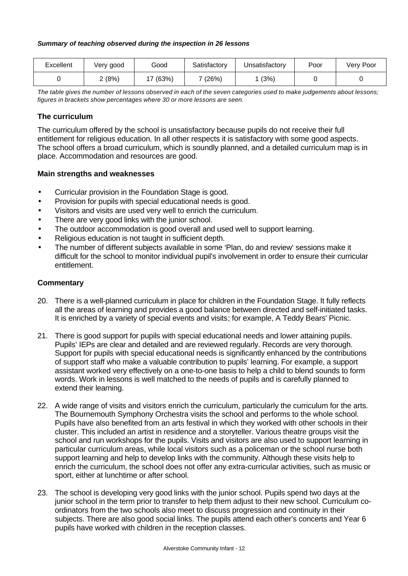#### *Summary of teaching observed during the inspection in 26 lessons*

| Excellent | Very good | Good        | Satisfactory | Unsatisfactory | Poor | Very Poor |
|-----------|-----------|-------------|--------------|----------------|------|-----------|
|           | (8%)      | (63%)<br>17 | 7 (26%)      | (3%)           |      |           |

*The table gives the number of lessons observed in each of the seven categories used to make judgements about lessons; figures in brackets show percentages where 30 or more lessons are seen.*

#### **The curriculum**

The curriculum offered by the school is unsatisfactory because pupils do not receive their full entitlement for religious education. In all other respects it is satisfactory with some good aspects. The school offers a broad curriculum, which is soundly planned, and a detailed curriculum map is in place. Accommodation and resources are good.

#### **Main strengths and weaknesses**

- Curricular provision in the Foundation Stage is good.
- Provision for pupils with special educational needs is good.
- Visitors and visits are used very well to enrich the curriculum.
- There are very good links with the junior school.
- The outdoor accommodation is good overall and used well to support learning.
- Religious education is not taught in sufficient depth.
- The number of different subjects available in some 'Plan, do and review' sessions make it difficult for the school to monitor individual pupil's involvement in order to ensure their curricular entitlement.

- 20. There is a well-planned curriculum in place for children in the Foundation Stage. It fully reflects all the areas of learning and provides a good balance between directed and self-initiated tasks. It is enriched by a variety of special events and visits; for example, A Teddy Bears' Picnic.
- 21. There is good support for pupils with special educational needs and lower attaining pupils. Pupils' IEPs are clear and detailed and are reviewed regularly. Records are very thorough. Support for pupils with special educational needs is significantly enhanced by the contributions of support staff who make a valuable contribution to pupils' learning. For example, a support assistant worked very effectively on a one-to-one basis to help a child to blend sounds to form words. Work in lessons is well matched to the needs of pupils and is carefully planned to extend their learning.
- 22. A wide range of visits and visitors enrich the curriculum, particularly the curriculum for the arts. The Bournemouth Symphony Orchestra visits the school and performs to the whole school. Pupils have also benefited from an arts festival in which they worked with other schools in their cluster. This included an artist in residence and a storyteller. Various theatre groups visit the school and run workshops for the pupils. Visits and visitors are also used to support learning in particular curriculum areas, while local visitors such as a policeman or the school nurse both support learning and help to develop links with the community. Although these visits help to enrich the curriculum, the school does not offer any extra-curricular activities, such as music or sport, either at lunchtime or after school.
- 23. The school is developing very good links with the junior school. Pupils spend two days at the junior school in the term prior to transfer to help them adjust to their new school. Curriculum coordinators from the two schools also meet to discuss progression and continuity in their subjects. There are also good social links. The pupils attend each other's concerts and Year 6 pupils have worked with children in the reception classes.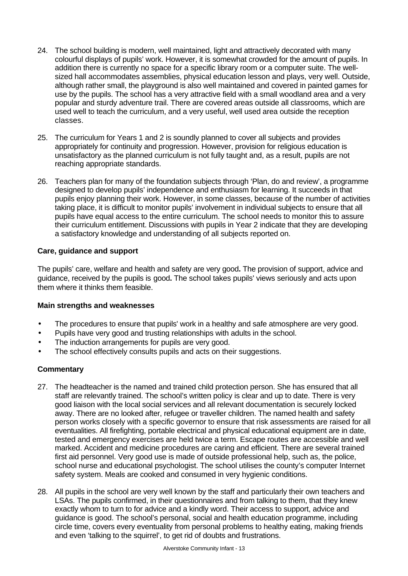- 24. The school building is modern, well maintained, light and attractively decorated with many colourful displays of pupils' work. However, it is somewhat crowded for the amount of pupils. In addition there is currently no space for a specific library room or a computer suite. The wellsized hall accommodates assemblies, physical education lesson and plays, very well. Outside, although rather small, the playground is also well maintained and covered in painted games for use by the pupils. The school has a very attractive field with a small woodland area and a very popular and sturdy adventure trail. There are covered areas outside all classrooms, which are used well to teach the curriculum, and a very useful, well used area outside the reception classes.
- 25. The curriculum for Years 1 and 2 is soundly planned to cover all subjects and provides appropriately for continuity and progression. However, provision for religious education is unsatisfactory as the planned curriculum is not fully taught and, as a result, pupils are not reaching appropriate standards.
- 26. Teachers plan for many of the foundation subjects through 'Plan, do and review', a programme designed to develop pupils' independence and enthusiasm for learning. It succeeds in that pupils enjoy planning their work. However, in some classes, because of the number of activities taking place, it is difficult to monitor pupils' involvement in individual subjects to ensure that all pupils have equal access to the entire curriculum. The school needs to monitor this to assure their curriculum entitlement. Discussions with pupils in Year 2 indicate that they are developing a satisfactory knowledge and understanding of all subjects reported on.

## **Care, guidance and support**

The pupils' care, welfare and health and safety are very good**.** The provision of support, advice and guidance, received by the pupils is good**.** The school takes pupils' views seriously and acts upon them where it thinks them feasible.

## **Main strengths and weaknesses**

- The procedures to ensure that pupils' work in a healthy and safe atmosphere are very good.
- Pupils have very good and trusting relationships with adults in the school.
- The induction arrangements for pupils are very good.
- The school effectively consults pupils and acts on their suggestions.

- 27. The headteacher is the named and trained child protection person. She has ensured that all staff are relevantly trained. The school's written policy is clear and up to date. There is very good liaison with the local social services and all relevant documentation is securely locked away. There are no looked after, refugee or traveller children. The named health and safety person works closely with a specific governor to ensure that risk assessments are raised for all eventualities. All firefighting, portable electrical and physical educational equipment are in date, tested and emergency exercises are held twice a term. Escape routes are accessible and well marked. Accident and medicine procedures are caring and efficient. There are several trained first aid personnel. Very good use is made of outside professional help, such as, the police, school nurse and educational psychologist. The school utilises the county's computer Internet safety system. Meals are cooked and consumed in very hygienic conditions.
- 28. All pupils in the school are very well known by the staff and particularly their own teachers and LSAs. The pupils confirmed, in their questionnaires and from talking to them, that they knew exactly whom to turn to for advice and a kindly word. Their access to support, advice and guidance is good. The school's personal, social and health education programme, including circle time, covers every eventuality from personal problems to healthy eating, making friends and even 'talking to the squirrel', to get rid of doubts and frustrations.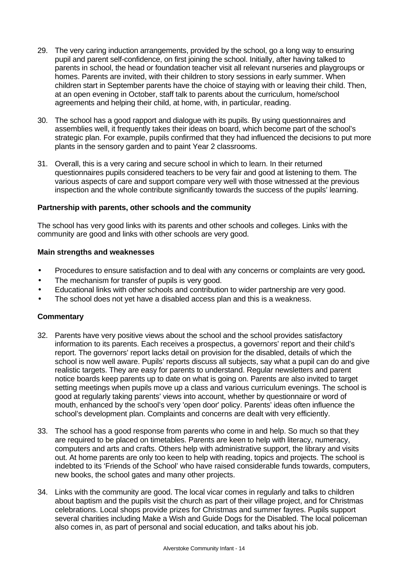- 29. The very caring induction arrangements, provided by the school, go a long way to ensuring pupil and parent self-confidence, on first joining the school. Initially, after having talked to parents in school, the head or foundation teacher visit all relevant nurseries and playgroups or homes. Parents are invited, with their children to story sessions in early summer. When children start in September parents have the choice of staying with or leaving their child. Then, at an open evening in October, staff talk to parents about the curriculum, home/school agreements and helping their child, at home, with, in particular, reading.
- 30. The school has a good rapport and dialogue with its pupils. By using questionnaires and assemblies well, it frequently takes their ideas on board, which become part of the school's strategic plan. For example, pupils confirmed that they had influenced the decisions to put more plants in the sensory garden and to paint Year 2 classrooms.
- 31. Overall, this is a very caring and secure school in which to learn. In their returned questionnaires pupils considered teachers to be very fair and good at listening to them. The various aspects of care and support compare very well with those witnessed at the previous inspection and the whole contribute significantly towards the success of the pupils' learning.

## **Partnership with parents, other schools and the community**

The school has very good links with its parents and other schools and colleges. Links with the community are good and links with other schools are very good.

#### **Main strengths and weaknesses**

- Procedures to ensure satisfaction and to deal with any concerns or complaints are very good**.**
- The mechanism for transfer of pupils is very good.
- Educational links with other schools and contribution to wider partnership are very good.
- The school does not yet have a disabled access plan and this is a weakness.

- 32. Parents have very positive views about the school and the school provides satisfactory information to its parents. Each receives a prospectus, a governors' report and their child's report. The governors' report lacks detail on provision for the disabled, details of which the school is now well aware. Pupils' reports discuss all subjects, say what a pupil can do and give realistic targets. They are easy for parents to understand. Regular newsletters and parent notice boards keep parents up to date on what is going on. Parents are also invited to target setting meetings when pupils move up a class and various curriculum evenings. The school is good at regularly taking parents' views into account, whether by questionnaire or word of mouth, enhanced by the school's very 'open door' policy. Parents' ideas often influence the school's development plan. Complaints and concerns are dealt with very efficiently.
- 33. The school has a good response from parents who come in and help. So much so that they are required to be placed on timetables. Parents are keen to help with literacy, numeracy, computers and arts and crafts. Others help with administrative support, the library and visits out. At home parents are only too keen to help with reading, topics and projects. The school is indebted to its 'Friends of the School' who have raised considerable funds towards, computers, new books, the school gates and many other projects.
- 34. Links with the community are good. The local vicar comes in regularly and talks to children about baptism and the pupils visit the church as part of their village project, and for Christmas celebrations. Local shops provide prizes for Christmas and summer fayres. Pupils support several charities including Make a Wish and Guide Dogs for the Disabled. The local policeman also comes in, as part of personal and social education, and talks about his job.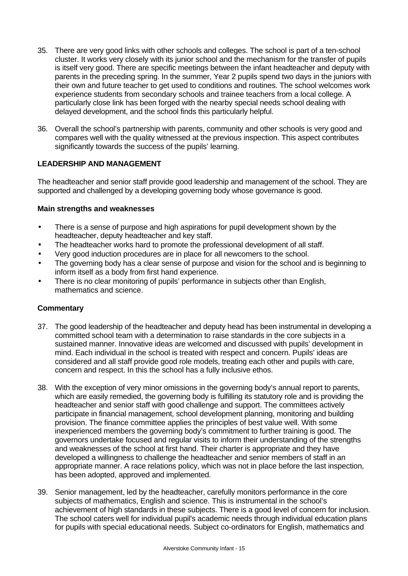- 35. There are very good links with other schools and colleges. The school is part of a ten-school cluster. It works very closely with its junior school and the mechanism for the transfer of pupils is itself very good. There are specific meetings between the infant headteacher and deputy with parents in the preceding spring. In the summer, Year 2 pupils spend two days in the juniors with their own and future teacher to get used to conditions and routines. The school welcomes work experience students from secondary schools and trainee teachers from a local college. A particularly close link has been forged with the nearby special needs school dealing with delayed development, and the school finds this particularly helpful.
- 36. Overall the school's partnership with parents, community and other schools is very good and compares well with the quality witnessed at the previous inspection. This aspect contributes significantly towards the success of the pupils' learning.

## **LEADERSHIP AND MANAGEMENT**

The headteacher and senior staff provide good leadership and management of the school. They are supported and challenged by a developing governing body whose governance is good.

## **Main strengths and weaknesses**

- There is a sense of purpose and high aspirations for pupil development shown by the headteacher, deputy headteacher and key staff.
- The headteacher works hard to promote the professional development of all staff.
- Very good induction procedures are in place for all newcomers to the school.
- The governing body has a clear sense of purpose and vision for the school and is beginning to inform itself as a body from first hand experience.
- There is no clear monitoring of pupils' performance in subjects other than English, mathematics and science.

- 37. The good leadership of the headteacher and deputy head has been instrumental in developing a committed school team with a determination to raise standards in the core subjects in a sustained manner. Innovative ideas are welcomed and discussed with pupils' development in mind. Each individual in the school is treated with respect and concern. Pupils' ideas are considered and all staff provide good role models, treating each other and pupils with care, concern and respect. In this the school has a fully inclusive ethos.
- 38. With the exception of very minor omissions in the governing body's annual report to parents, which are easily remedied, the governing body is fulfilling its statutory role and is providing the headteacher and senior staff with good challenge and support. The committees actively participate in financial management, school development planning, monitoring and building provision. The finance committee applies the principles of best value well. With some inexperienced members the governing body's commitment to further training is good. The governors undertake focused and regular visits to inform their understanding of the strengths and weaknesses of the school at first hand. Their charter is appropriate and they have developed a willingness to challenge the headteacher and senior members of staff in an appropriate manner. A race relations policy, which was not in place before the last inspection, has been adopted, approved and implemented.
- 39. Senior management, led by the headteacher, carefully monitors performance in the core subjects of mathematics, English and science. This is instrumental in the school's achievement of high standards in these subjects. There is a good level of concern for inclusion. The school caters well for individual pupil's academic needs through individual education plans for pupils with special educational needs. Subject co-ordinators for English, mathematics and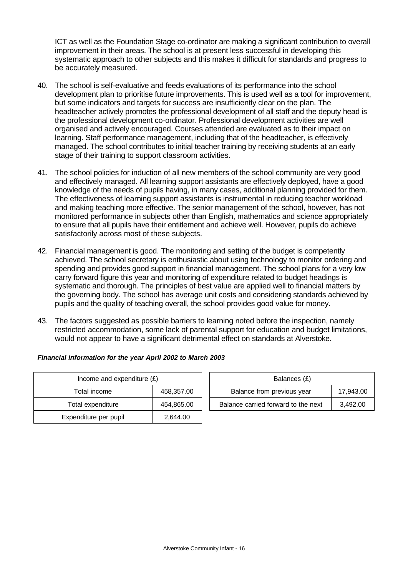ICT as well as the Foundation Stage co-ordinator are making a significant contribution to overall improvement in their areas. The school is at present less successful in developing this systematic approach to other subjects and this makes it difficult for standards and progress to be accurately measured.

- 40. The school is self-evaluative and feeds evaluations of its performance into the school development plan to prioritise future improvements. This is used well as a tool for improvement, but some indicators and targets for success are insufficiently clear on the plan. The headteacher actively promotes the professional development of all staff and the deputy head is the professional development co-ordinator. Professional development activities are well organised and actively encouraged. Courses attended are evaluated as to their impact on learning. Staff performance management, including that of the headteacher, is effectively managed. The school contributes to initial teacher training by receiving students at an early stage of their training to support classroom activities.
- 41. The school policies for induction of all new members of the school community are very good and effectively managed. All learning support assistants are effectively deployed, have a good knowledge of the needs of pupils having, in many cases, additional planning provided for them. The effectiveness of learning support assistants is instrumental in reducing teacher workload and making teaching more effective. The senior management of the school, however, has not monitored performance in subjects other than English, mathematics and science appropriately to ensure that all pupils have their entitlement and achieve well. However, pupils do achieve satisfactorily across most of these subjects.
- 42. Financial management is good. The monitoring and setting of the budget is competently achieved. The school secretary is enthusiastic about using technology to monitor ordering and spending and provides good support in financial management. The school plans for a very low carry forward figure this year and monitoring of expenditure related to budget headings is systematic and thorough. The principles of best value are applied well to financial matters by the governing body. The school has average unit costs and considering standards achieved by pupils and the quality of teaching overall, the school provides good value for money.
- 43. The factors suggested as possible barriers to learning noted before the inspection, namely restricted accommodation, some lack of parental support for education and budget limitations, would not appear to have a significant detrimental effect on standards at Alverstoke.

| Income and expenditure $(E)$ |            |  | Balances (£)                   |
|------------------------------|------------|--|--------------------------------|
| Total income                 | 458,357.00 |  | Balance from previous year     |
| Total expenditure            | 454,865.00 |  | Balance carried forward to the |
| Expenditure per pupil        | 2,644.00   |  |                                |

| Financial information for the year April 2002 to March 2003 |  |
|-------------------------------------------------------------|--|
|                                                             |  |

| Income and expenditure $(E)$ |            | Balances (£)                        |           |
|------------------------------|------------|-------------------------------------|-----------|
| Total income                 | 458,357.00 | Balance from previous year          | 17.943.00 |
| Total expenditure            | 454,865.00 | Balance carried forward to the next | 3.492.00  |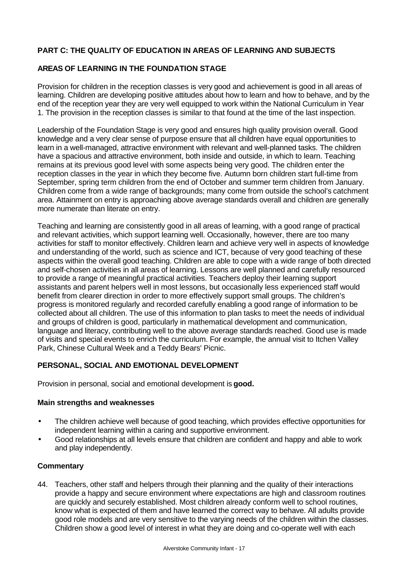# **PART C: THE QUALITY OF EDUCATION IN AREAS OF LEARNING AND SUBJECTS**

# **AREAS OF LEARNING IN THE FOUNDATION STAGE**

Provision for children in the reception classes is very good and achievement is good in all areas of learning. Children are developing positive attitudes about how to learn and how to behave, and by the end of the reception year they are very well equipped to work within the National Curriculum in Year 1. The provision in the reception classes is similar to that found at the time of the last inspection.

Leadership of the Foundation Stage is very good and ensures high quality provision overall. Good knowledge and a very clear sense of purpose ensure that all children have equal opportunities to learn in a well-managed, attractive environment with relevant and well-planned tasks. The children have a spacious and attractive environment, both inside and outside, in which to learn. Teaching remains at its previous good level with some aspects being very good. The children enter the reception classes in the year in which they become five. Autumn born children start full-time from September, spring term children from the end of October and summer term children from January. Children come from a wide range of backgrounds; many come from outside the school's catchment area. Attainment on entry is approaching above average standards overall and children are generally more numerate than literate on entry.

Teaching and learning are consistently good in all areas of learning, with a good range of practical and relevant activities, which support learning well. Occasionally, however, there are too many activities for staff to monitor effectively. Children learn and achieve very well in aspects of knowledge and understanding of the world, such as science and ICT, because of very good teaching of these aspects within the overall good teaching. Children are able to cope with a wide range of both directed and self-chosen activities in all areas of learning. Lessons are well planned and carefully resourced to provide a range of meaningful practical activities. Teachers deploy their learning support assistants and parent helpers well in most lessons, but occasionally less experienced staff would benefit from clearer direction in order to more effectively support small groups. The children's progress is monitored regularly and recorded carefully enabling a good range of information to be collected about all children. The use of this information to plan tasks to meet the needs of individual and groups of children is good, particularly in mathematical development and communication, language and literacy, contributing well to the above average standards reached. Good use is made of visits and special events to enrich the curriculum. For example, the annual visit to Itchen Valley Park, Chinese Cultural Week and a Teddy Bears' Picnic.

# **PERSONAL, SOCIAL AND EMOTIONAL DEVELOPMENT**

Provision in personal, social and emotional development is **good.**

## **Main strengths and weaknesses**

- The children achieve well because of good teaching, which provides effective opportunities for independent learning within a caring and supportive environment.
- Good relationships at all levels ensure that children are confident and happy and able to work and play independently.

## **Commentary**

44. Teachers, other staff and helpers through their planning and the quality of their interactions provide a happy and secure environment where expectations are high and classroom routines are quickly and securely established. Most children already conform well to school routines, know what is expected of them and have learned the correct way to behave. All adults provide good role models and are very sensitive to the varying needs of the children within the classes. Children show a good level of interest in what they are doing and co-operate well with each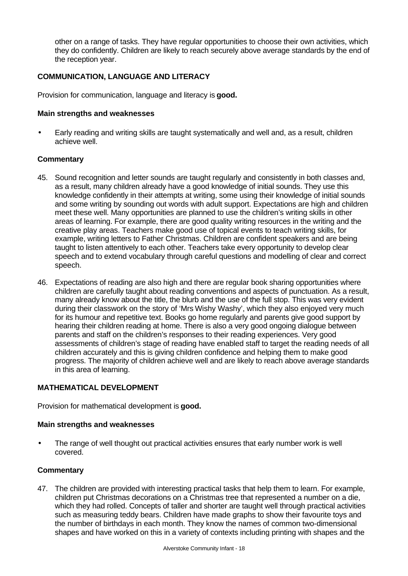other on a range of tasks. They have regular opportunities to choose their own activities, which they do confidently. Children are likely to reach securely above average standards by the end of the reception year.

## **COMMUNICATION, LANGUAGE AND LITERACY**

Provision for communication, language and literacy is **good.**

#### **Main strengths and weaknesses**

• Early reading and writing skills are taught systematically and well and, as a result, children achieve well.

#### **Commentary**

- 45. Sound recognition and letter sounds are taught regularly and consistently in both classes and, as a result, many children already have a good knowledge of initial sounds. They use this knowledge confidently in their attempts at writing, some using their knowledge of initial sounds and some writing by sounding out words with adult support. Expectations are high and children meet these well. Many opportunities are planned to use the children's writing skills in other areas of learning. For example, there are good quality writing resources in the writing and the creative play areas. Teachers make good use of topical events to teach writing skills, for example, writing letters to Father Christmas. Children are confident speakers and are being taught to listen attentively to each other. Teachers take every opportunity to develop clear speech and to extend vocabulary through careful questions and modelling of clear and correct speech.
- 46. Expectations of reading are also high and there are regular book sharing opportunities where children are carefully taught about reading conventions and aspects of punctuation. As a result, many already know about the title, the blurb and the use of the full stop. This was very evident during their classwork on the story of 'Mrs Wishy Washy', which they also enjoyed very much for its humour and repetitive text. Books go home regularly and parents give good support by hearing their children reading at home. There is also a very good ongoing dialogue between parents and staff on the children's responses to their reading experiences. Very good assessments of children's stage of reading have enabled staff to target the reading needs of all children accurately and this is giving children confidence and helping them to make good progress. The majority of children achieve well and are likely to reach above average standards in this area of learning.

#### **MATHEMATICAL DEVELOPMENT**

Provision for mathematical development is **good.**

#### **Main strengths and weaknesses**

The range of well thought out practical activities ensures that early number work is well covered.

## **Commentary**

47. The children are provided with interesting practical tasks that help them to learn. For example, children put Christmas decorations on a Christmas tree that represented a number on a die, which they had rolled. Concepts of taller and shorter are taught well through practical activities such as measuring teddy bears. Children have made graphs to show their favourite toys and the number of birthdays in each month. They know the names of common two-dimensional shapes and have worked on this in a variety of contexts including printing with shapes and the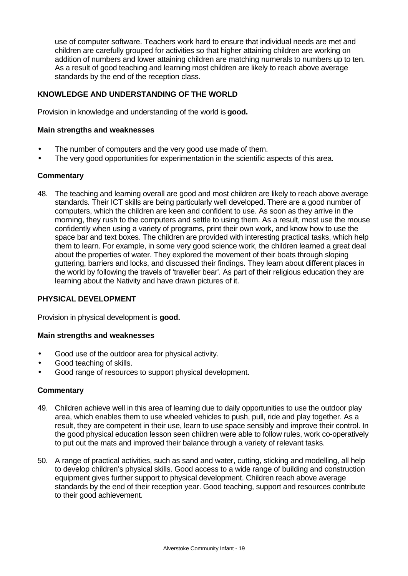use of computer software. Teachers work hard to ensure that individual needs are met and children are carefully grouped for activities so that higher attaining children are working on addition of numbers and lower attaining children are matching numerals to numbers up to ten. As a result of good teaching and learning most children are likely to reach above average standards by the end of the reception class.

## **KNOWLEDGE AND UNDERSTANDING OF THE WORLD**

Provision in knowledge and understanding of the world is **good.**

#### **Main strengths and weaknesses**

- The number of computers and the very good use made of them.
- The very good opportunities for experimentation in the scientific aspects of this area.

#### **Commentary**

48. The teaching and learning overall are good and most children are likely to reach above average standards. Their ICT skills are being particularly well developed. There are a good number of computers, which the children are keen and confident to use. As soon as they arrive in the morning, they rush to the computers and settle to using them. As a result, most use the mouse confidently when using a variety of programs, print their own work, and know how to use the space bar and text boxes. The children are provided with interesting practical tasks, which help them to learn. For example, in some very good science work, the children learned a great deal about the properties of water. They explored the movement of their boats through sloping guttering, barriers and locks, and discussed their findings. They learn about different places in the world by following the travels of 'traveller bear'. As part of their religious education they are learning about the Nativity and have drawn pictures of it.

## **PHYSICAL DEVELOPMENT**

Provision in physical development is **good.**

#### **Main strengths and weaknesses**

- Good use of the outdoor area for physical activity.
- Good teaching of skills.
- Good range of resources to support physical development.

- 49. Children achieve well in this area of learning due to daily opportunities to use the outdoor play area, which enables them to use wheeled vehicles to push, pull, ride and play together. As a result, they are competent in their use, learn to use space sensibly and improve their control. In the good physical education lesson seen children were able to follow rules, work co-operatively to put out the mats and improved their balance through a variety of relevant tasks.
- 50. A range of practical activities, such as sand and water, cutting, sticking and modelling, all help to develop children's physical skills. Good access to a wide range of building and construction equipment gives further support to physical development. Children reach above average standards by the end of their reception year. Good teaching, support and resources contribute to their good achievement.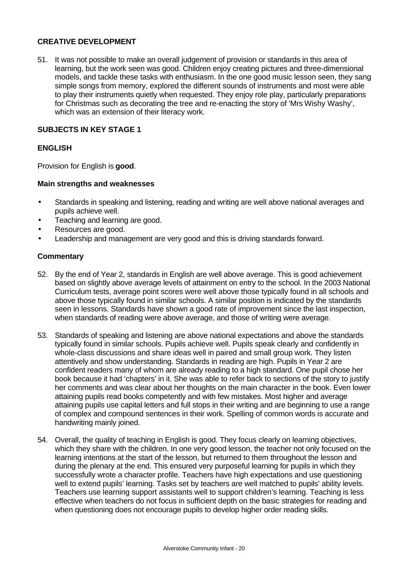## **CREATIVE DEVELOPMENT**

51. It was not possible to make an overall judgement of provision or standards in this area of learning, but the work seen was good. Children enjoy creating pictures and three-dimensional models, and tackle these tasks with enthusiasm. In the one good music lesson seen, they sang simple songs from memory, explored the different sounds of instruments and most were able to play their instruments quietly when requested. They enjoy role play, particularly preparations for Christmas such as decorating the tree and re-enacting the story of 'Mrs Wishy Washy', which was an extension of their literacy work.

## **SUBJECTS IN KEY STAGE 1**

## **ENGLISH**

Provision for English is **good**.

#### **Main strengths and weaknesses**

- Standards in speaking and listening, reading and writing are well above national averages and pupils achieve well.
- Teaching and learning are good.
- Resources are good.
- Leadership and management are very good and this is driving standards forward.

- 52. By the end of Year 2, standards in English are well above average. This is good achievement based on slightly above average levels of attainment on entry to the school. In the 2003 National Curriculum tests, average point scores were well above those typically found in all schools and above those typically found in similar schools. A similar position is indicated by the standards seen in lessons. Standards have shown a good rate of improvement since the last inspection, when standards of reading were above average, and those of writing were average.
- 53. Standards of speaking and listening are above national expectations and above the standards typically found in similar schools. Pupils achieve well. Pupils speak clearly and confidently in whole-class discussions and share ideas well in paired and small group work. They listen attentively and show understanding. Standards in reading are high. Pupils in Year 2 are confident readers many of whom are already reading to a high standard. One pupil chose her book because it had 'chapters' in it. She was able to refer back to sections of the story to justify her comments and was clear about her thoughts on the main character in the book. Even lower attaining pupils read books competently and with few mistakes. Most higher and average attaining pupils use capital letters and full stops in their writing and are beginning to use a range of complex and compound sentences in their work. Spelling of common words is accurate and handwriting mainly joined.
- 54. Overall, the quality of teaching in English is good. They focus clearly on learning objectives, which they share with the children. In one very good lesson, the teacher not only focused on the learning intentions at the start of the lesson, but returned to them throughout the lesson and during the plenary at the end. This ensured very purposeful learning for pupils in which they successfully wrote a character profile. Teachers have high expectations and use questioning well to extend pupils' learning. Tasks set by teachers are well matched to pupils' ability levels. Teachers use learning support assistants well to support children's learning. Teaching is less effective when teachers do not focus in sufficient depth on the basic strategies for reading and when questioning does not encourage pupils to develop higher order reading skills.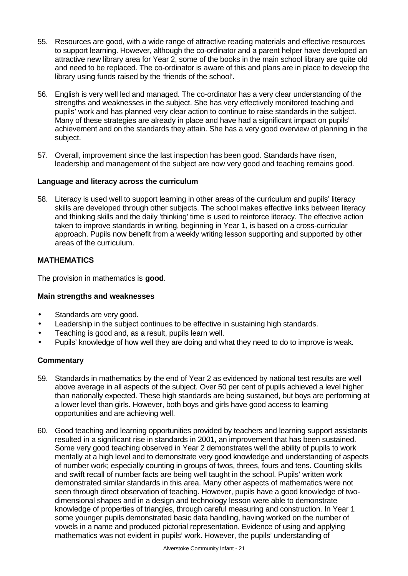- 55. Resources are good, with a wide range of attractive reading materials and effective resources to support learning. However, although the co-ordinator and a parent helper have developed an attractive new library area for Year 2, some of the books in the main school library are quite old and need to be replaced. The co-ordinator is aware of this and plans are in place to develop the library using funds raised by the 'friends of the school'.
- 56. English is very well led and managed. The co-ordinator has a very clear understanding of the strengths and weaknesses in the subject. She has very effectively monitored teaching and pupils' work and has planned very clear action to continue to raise standards in the subject. Many of these strategies are already in place and have had a significant impact on pupils' achievement and on the standards they attain. She has a very good overview of planning in the subject.
- 57. Overall, improvement since the last inspection has been good. Standards have risen, leadership and management of the subject are now very good and teaching remains good.

## **Language and literacy across the curriculum**

58. Literacy is used well to support learning in other areas of the curriculum and pupils' literacy skills are developed through other subjects. The school makes effective links between literacy and thinking skills and the daily 'thinking' time is used to reinforce literacy. The effective action taken to improve standards in writing, beginning in Year 1, is based on a cross-curricular approach. Pupils now benefit from a weekly writing lesson supporting and supported by other areas of the curriculum.

# **MATHEMATICS**

The provision in mathematics is **good**.

## **Main strengths and weaknesses**

- Standards are very good.
- Leadership in the subject continues to be effective in sustaining high standards.
- Teaching is good and, as a result, pupils learn well.
- Pupils' knowledge of how well they are doing and what they need to do to improve is weak.

- 59. Standards in mathematics by the end of Year 2 as evidenced by national test results are well above average in all aspects of the subject. Over 50 per cent of pupils achieved a level higher than nationally expected. These high standards are being sustained, but boys are performing at a lower level than girls. However, both boys and girls have good access to learning opportunities and are achieving well.
- 60. Good teaching and learning opportunities provided by teachers and learning support assistants resulted in a significant rise in standards in 2001, an improvement that has been sustained. Some very good teaching observed in Year 2 demonstrates well the ability of pupils to work mentally at a high level and to demonstrate very good knowledge and understanding of aspects of number work; especially counting in groups of twos, threes, fours and tens. Counting skills and swift recall of number facts are being well taught in the school. Pupils' written work demonstrated similar standards in this area. Many other aspects of mathematics were not seen through direct observation of teaching. However, pupils have a good knowledge of twodimensional shapes and in a design and technology lesson were able to demonstrate knowledge of properties of triangles, through careful measuring and construction. In Year 1 some younger pupils demonstrated basic data handling, having worked on the number of vowels in a name and produced pictorial representation. Evidence of using and applying mathematics was not evident in pupils' work. However, the pupils' understanding of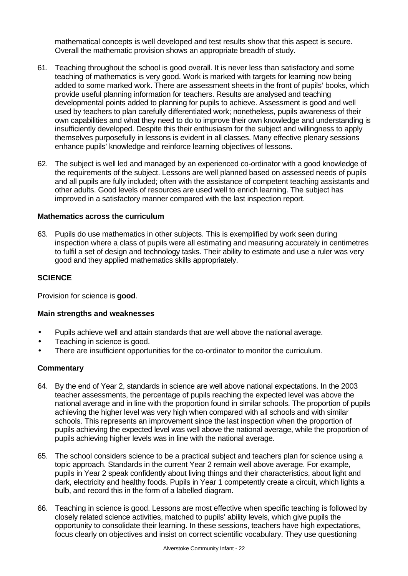mathematical concepts is well developed and test results show that this aspect is secure. Overall the mathematic provision shows an appropriate breadth of study.

- 61. Teaching throughout the school is good overall. It is never less than satisfactory and some teaching of mathematics is very good. Work is marked with targets for learning now being added to some marked work. There are assessment sheets in the front of pupils' books, which provide useful planning information for teachers. Results are analysed and teaching developmental points added to planning for pupils to achieve. Assessment is good and well used by teachers to plan carefully differentiated work; nonetheless, pupils awareness of their own capabilities and what they need to do to improve their own knowledge and understanding is insufficiently developed. Despite this their enthusiasm for the subject and willingness to apply themselves purposefully in lessons is evident in all classes. Many effective plenary sessions enhance pupils' knowledge and reinforce learning objectives of lessons.
- 62. The subject is well led and managed by an experienced co-ordinator with a good knowledge of the requirements of the subject. Lessons are well planned based on assessed needs of pupils and all pupils are fully included; often with the assistance of competent teaching assistants and other adults. Good levels of resources are used well to enrich learning. The subject has improved in a satisfactory manner compared with the last inspection report.

## **Mathematics across the curriculum**

63. Pupils do use mathematics in other subjects. This is exemplified by work seen during inspection where a class of pupils were all estimating and measuring accurately in centimetres to fulfil a set of design and technology tasks. Their ability to estimate and use a ruler was very good and they applied mathematics skills appropriately.

## **SCIENCE**

Provision for science is **good**.

#### **Main strengths and weaknesses**

- Pupils achieve well and attain standards that are well above the national average.
- Teaching in science is good.
- There are insufficient opportunities for the co-ordinator to monitor the curriculum.

- 64. By the end of Year 2, standards in science are well above national expectations. In the 2003 teacher assessments, the percentage of pupils reaching the expected level was above the national average and in line with the proportion found in similar schools. The proportion of pupils achieving the higher level was very high when compared with all schools and with similar schools. This represents an improvement since the last inspection when the proportion of pupils achieving the expected level was well above the national average, while the proportion of pupils achieving higher levels was in line with the national average.
- 65. The school considers science to be a practical subject and teachers plan for science using a topic approach. Standards in the current Year 2 remain well above average. For example, pupils in Year 2 speak confidently about living things and their characteristics, about light and dark, electricity and healthy foods. Pupils in Year 1 competently create a circuit, which lights a bulb, and record this in the form of a labelled diagram.
- 66. Teaching in science is good. Lessons are most effective when specific teaching is followed by closely related science activities, matched to pupils' ability levels, which give pupils the opportunity to consolidate their learning. In these sessions, teachers have high expectations, focus clearly on objectives and insist on correct scientific vocabulary. They use questioning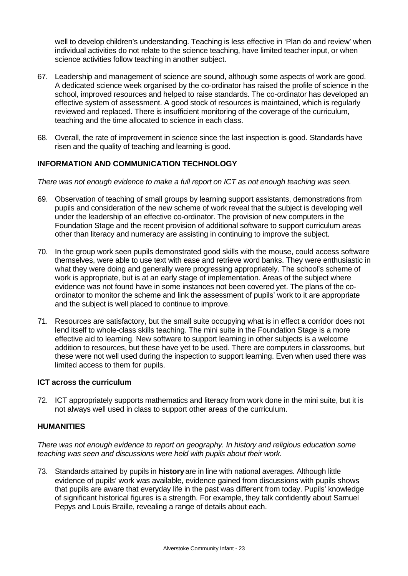well to develop children's understanding. Teaching is less effective in 'Plan do and review' when individual activities do not relate to the science teaching, have limited teacher input, or when science activities follow teaching in another subject.

- 67. Leadership and management of science are sound, although some aspects of work are good. A dedicated science week organised by the co-ordinator has raised the profile of science in the school, improved resources and helped to raise standards. The co-ordinator has developed an effective system of assessment. A good stock of resources is maintained, which is regularly reviewed and replaced. There is insufficient monitoring of the coverage of the curriculum, teaching and the time allocated to science in each class.
- 68. Overall, the rate of improvement in science since the last inspection is good. Standards have risen and the quality of teaching and learning is good.

# **INFORMATION AND COMMUNICATION TECHNOLOGY**

*There was not enough evidence to make a full report on ICT as not enough teaching was seen.*

- 69. Observation of teaching of small groups by learning support assistants, demonstrations from pupils and consideration of the new scheme of work reveal that the subject is developing well under the leadership of an effective co-ordinator. The provision of new computers in the Foundation Stage and the recent provision of additional software to support curriculum areas other than literacy and numeracy are assisting in continuing to improve the subject.
- 70. In the group work seen pupils demonstrated good skills with the mouse, could access software themselves, were able to use text with ease and retrieve word banks. They were enthusiastic in what they were doing and generally were progressing appropriately. The school's scheme of work is appropriate, but is at an early stage of implementation. Areas of the subject where evidence was not found have in some instances not been covered yet. The plans of the coordinator to monitor the scheme and link the assessment of pupils' work to it are appropriate and the subject is well placed to continue to improve.
- 71. Resources are satisfactory, but the small suite occupying what is in effect a corridor does not lend itself to whole-class skills teaching. The mini suite in the Foundation Stage is a more effective aid to learning. New software to support learning in other subjects is a welcome addition to resources, but these have yet to be used. There are computers in classrooms, but these were not well used during the inspection to support learning. Even when used there was limited access to them for pupils.

## **ICT across the curriculum**

72. ICT appropriately supports mathematics and literacy from work done in the mini suite, but it is not always well used in class to support other areas of the curriculum.

## **HUMANITIES**

*There was not enough evidence to report on geography. In history and religious education some teaching was seen and discussions were held with pupils about their work.*

73. Standards attained by pupils in **history** are in line with national averages. Although little evidence of pupils' work was available, evidence gained from discussions with pupils shows that pupils are aware that everyday life in the past was different from today. Pupils' knowledge of significant historical figures is a strength. For example, they talk confidently about Samuel Pepys and Louis Braille, revealing a range of details about each.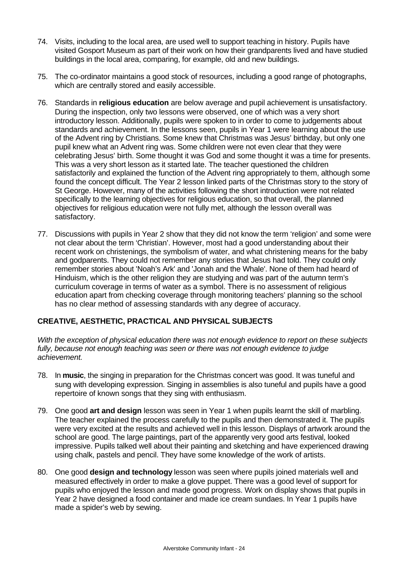- 74. Visits, including to the local area, are used well to support teaching in history. Pupils have visited Gosport Museum as part of their work on how their grandparents lived and have studied buildings in the local area, comparing, for example, old and new buildings.
- 75. The co-ordinator maintains a good stock of resources, including a good range of photographs, which are centrally stored and easily accessible.
- 76. Standards in **religious education** are below average and pupil achievement is unsatisfactory. During the inspection, only two lessons were observed, one of which was a very short introductory lesson. Additionally, pupils were spoken to in order to come to judgements about standards and achievement. In the lessons seen, pupils in Year 1 were learning about the use of the Advent ring by Christians. Some knew that Christmas was Jesus' birthday, but only one pupil knew what an Advent ring was. Some children were not even clear that they were celebrating Jesus' birth. Some thought it was God and some thought it was a time for presents. This was a very short lesson as it started late. The teacher questioned the children satisfactorily and explained the function of the Advent ring appropriately to them, although some found the concept difficult. The Year 2 lesson linked parts of the Christmas story to the story of St George. However, many of the activities following the short introduction were not related specifically to the learning objectives for religious education, so that overall, the planned objectives for religious education were not fully met, although the lesson overall was satisfactory.
- 77. Discussions with pupils in Year 2 show that they did not know the term 'religion' and some were not clear about the term 'Christian'. However, most had a good understanding about their recent work on christenings, the symbolism of water, and what christening means for the baby and godparents. They could not remember any stories that Jesus had told. They could only remember stories about 'Noah's Ark' and 'Jonah and the Whale'. None of them had heard of Hinduism, which is the other religion they are studying and was part of the autumn term's curriculum coverage in terms of water as a symbol. There is no assessment of religious education apart from checking coverage through monitoring teachers' planning so the school has no clear method of assessing standards with any degree of accuracy.

# **CREATIVE, AESTHETIC, PRACTICAL AND PHYSICAL SUBJECTS**

*With the exception of physical education there was not enough evidence to report on these subjects fully, because not enough teaching was seen or there was not enough evidence to judge achievement.*

- 78. In **music**, the singing in preparation for the Christmas concert was good. It was tuneful and sung with developing expression. Singing in assemblies is also tuneful and pupils have a good repertoire of known songs that they sing with enthusiasm.
- 79. One good **art and design** lesson was seen in Year 1 when pupils learnt the skill of marbling. The teacher explained the process carefully to the pupils and then demonstrated it. The pupils were very excited at the results and achieved well in this lesson. Displays of artwork around the school are good. The large paintings, part of the apparently very good arts festival, looked impressive. Pupils talked well about their painting and sketching and have experienced drawing using chalk, pastels and pencil. They have some knowledge of the work of artists.
- 80. One good **design and technology** lesson was seen where pupils joined materials well and measured effectively in order to make a glove puppet. There was a good level of support for pupils who enjoyed the lesson and made good progress. Work on display shows that pupils in Year 2 have designed a food container and made ice cream sundaes. In Year 1 pupils have made a spider's web by sewing.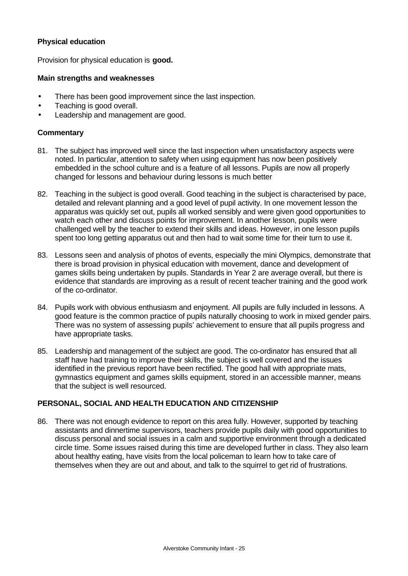#### **Physical education**

Provision for physical education is **good.**

#### **Main strengths and weaknesses**

- There has been good improvement since the last inspection.
- Teaching is good overall.
- Leadership and management are good.

#### **Commentary**

- 81. The subject has improved well since the last inspection when unsatisfactory aspects were noted. In particular, attention to safety when using equipment has now been positively embedded in the school culture and is a feature of all lessons. Pupils are now all properly changed for lessons and behaviour during lessons is much better
- 82. Teaching in the subject is good overall. Good teaching in the subject is characterised by pace, detailed and relevant planning and a good level of pupil activity. In one movement lesson the apparatus was quickly set out, pupils all worked sensibly and were given good opportunities to watch each other and discuss points for improvement. In another lesson, pupils were challenged well by the teacher to extend their skills and ideas. However, in one lesson pupils spent too long getting apparatus out and then had to wait some time for their turn to use it.
- 83. Lessons seen and analysis of photos of events, especially the mini Olympics, demonstrate that there is broad provision in physical education with movement, dance and development of games skills being undertaken by pupils. Standards in Year 2 are average overall, but there is evidence that standards are improving as a result of recent teacher training and the good work of the co-ordinator.
- 84. Pupils work with obvious enthusiasm and enjoyment. All pupils are fully included in lessons. A good feature is the common practice of pupils naturally choosing to work in mixed gender pairs. There was no system of assessing pupils' achievement to ensure that all pupils progress and have appropriate tasks.
- 85. Leadership and management of the subject are good. The co-ordinator has ensured that all staff have had training to improve their skills, the subject is well covered and the issues identified in the previous report have been rectified. The good hall with appropriate mats, gymnastics equipment and games skills equipment, stored in an accessible manner, means that the subject is well resourced.

## **PERSONAL, SOCIAL AND HEALTH EDUCATION AND CITIZENSHIP**

86. There was not enough evidence to report on this area fully. However, supported by teaching assistants and dinnertime supervisors, teachers provide pupils daily with good opportunities to discuss personal and social issues in a calm and supportive environment through a dedicated circle time. Some issues raised during this time are developed further in class. They also learn about healthy eating, have visits from the local policeman to learn how to take care of themselves when they are out and about, and talk to the squirrel to get rid of frustrations.